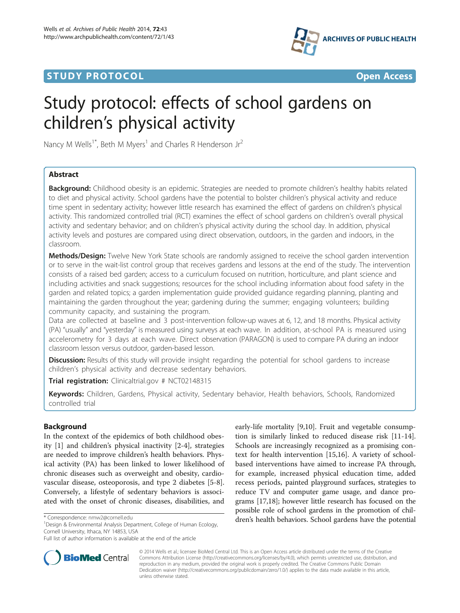# **STUDY PROTOCOL CONSUMING THE CONSUMING TO A RESERVE A** CONSUMING THE CONSUMING THE CONSUMING THE CONSUMING THE CONSUMING THE CONSUMING THE CONSUMING THE CONSUMING THE CONSUMING THE CONSUMING THE CONSUMING THE CONSUMING



# Study protocol: effects of school gardens on children's physical activity

Nancy M Wells<sup>1\*</sup>, Beth M Myers<sup>1</sup> and Charles R Henderson Jr<sup>2</sup>

# Abstract

**Background:** Childhood obesity is an epidemic. Strategies are needed to promote children's healthy habits related to diet and physical activity. School gardens have the potential to bolster children's physical activity and reduce time spent in sedentary activity; however little research has examined the effect of gardens on children's physical activity. This randomized controlled trial (RCT) examines the effect of school gardens on children's overall physical activity and sedentary behavior; and on children's physical activity during the school day. In addition, physical activity levels and postures are compared using direct observation, outdoors, in the garden and indoors, in the classroom.

Methods/Design: Twelve New York State schools are randomly assigned to receive the school garden intervention or to serve in the wait-list control group that receives gardens and lessons at the end of the study. The intervention consists of a raised bed garden; access to a curriculum focused on nutrition, horticulture, and plant science and including activities and snack suggestions; resources for the school including information about food safety in the garden and related topics; a garden implementation guide provided guidance regarding planning, planting and maintaining the garden throughout the year; gardening during the summer; engaging volunteers; building community capacity, and sustaining the program.

Data are collected at baseline and 3 post-intervention follow-up waves at 6, 12, and 18 months. Physical activity (PA) "usually" and "yesterday" is measured using surveys at each wave. In addition, at-school PA is measured using accelerometry for 3 days at each wave. Direct observation (PARAGON) is used to compare PA during an indoor classroom lesson versus outdoor, garden-based lesson.

Discussion: Results of this study will provide insight regarding the potential for school gardens to increase children's physical activity and decrease sedentary behaviors.

Trial registration: Clinicaltrial.gov # [NCT02148315](http://www.clinicaltrials.gov/NCT02148315)

Keywords: Children, Gardens, Physical activity, Sedentary behavior, Health behaviors, Schools, Randomized controlled trial

# Background

In the context of the epidemics of both childhood obesity [\[1](#page-4-0)] and children's physical inactivity [[2-4\]](#page-4-0), strategies are needed to improve children's health behaviors. Physical activity (PA) has been linked to lower likelihood of chronic diseases such as overweight and obesity, cardiovascular disease, osteoporosis, and type 2 diabetes [[5-8](#page-4-0)]. Conversely, a lifestyle of sedentary behaviors is associated with the onset of chronic diseases, disabilities, and

<sup>1</sup> Design & Environmental Analysis Department, College of Human Ecology, Cornell University, Ithaca, NY 14853, USA

Full list of author information is available at the end of the article





© 2014 Wells et al.; licensee BioMed Central Ltd. This is an Open Access article distributed under the terms of the Creative Commons Attribution License [\(http://creativecommons.org/licenses/by/4.0\)](http://creativecommons.org/licenses/by/4.0), which permits unrestricted use, distribution, and reproduction in any medium, provided the original work is properly credited. The Creative Commons Public Domain Dedication waiver [\(http://creativecommons.org/publicdomain/zero/1.0/](http://creativecommons.org/publicdomain/zero/1.0/)) applies to the data made available in this article, unless otherwise stated.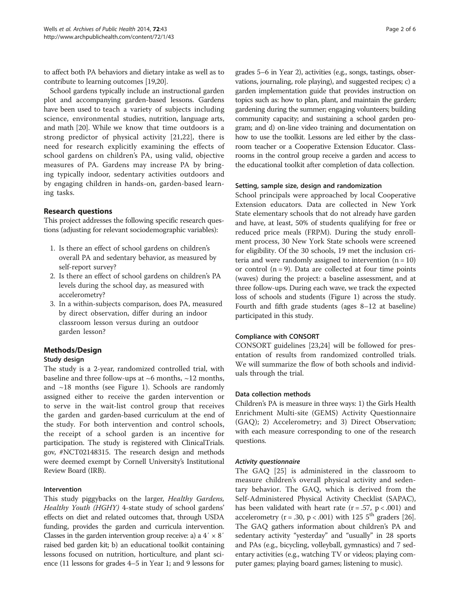to affect both PA behaviors and dietary intake as well as to contribute to learning outcomes [\[19,20](#page-4-0)].

School gardens typically include an instructional garden plot and accompanying garden-based lessons. Gardens have been used to teach a variety of subjects including science, environmental studies, nutrition, language arts, and math [\[20](#page-4-0)]. While we know that time outdoors is a strong predictor of physical activity [[21,22](#page-4-0)], there is need for research explicitly examining the effects of school gardens on children's PA, using valid, objective measures of PA. Gardens may increase PA by bringing typically indoor, sedentary activities outdoors and by engaging children in hands-on, garden-based learning tasks.

# Research questions

This project addresses the following specific research questions (adjusting for relevant sociodemographic variables):

- 1. Is there an effect of school gardens on children's overall PA and sedentary behavior, as measured by self-report survey?
- 2. Is there an effect of school gardens on children's PA levels during the school day, as measured with accelerometry?
- 3. In a within-subjects comparison, does PA, measured by direct observation, differ during an indoor classroom lesson versus during an outdoor garden lesson?

# Methods/Design

# Study design

The study is a 2-year, randomized controlled trial, with baseline and three follow-ups at  $~6$  months,  $~12$  months, and  $~18$  months (see Figure [1](#page-2-0)). Schools are randomly assigned either to receive the garden intervention or to serve in the wait-list control group that receives the garden and garden-based curriculum at the end of the study. For both intervention and control schools, the receipt of a school garden is an incentive for participation. The study is registered with ClinicalTrials. gov, #NCT02148315. The research design and methods were deemed exempt by Cornell University's Institutional Review Board (IRB).

# Intervention

This study piggybacks on the larger, Healthy Gardens, Healthy Youth (HGHY) 4-state study of school gardens' effects on diet and related outcomes that, through USDA funding, provides the garden and curricula intervention. Classes in the garden intervention group receive: a) a  $4' \times 8'$ raised bed garden kit; b) an educational toolkit containing lessons focused on nutrition, horticulture, and plant science (11 lessons for grades 4–5 in Year 1; and 9 lessons for

grades 5–6 in Year 2), activities (e.g., songs, tastings, observations, journaling, role playing), and suggested recipes; c) a garden implementation guide that provides instruction on topics such as: how to plan, plant, and maintain the garden; gardening during the summer; engaging volunteers; building community capacity; and sustaining a school garden program; and d) on-line video training and documentation on how to use the toolkit. Lessons are led either by the classroom teacher or a Cooperative Extension Educator. Classrooms in the control group receive a garden and access to the educational toolkit after completion of data collection.

#### Setting, sample size, design and randomization

School principals were approached by local Cooperative Extension educators. Data are collected in New York State elementary schools that do not already have garden and have, at least, 50% of students qualifying for free or reduced price meals (FRPM). During the study enrollment process, 30 New York State schools were screened for eligibility. Of the 30 schools, 19 met the inclusion criteria and were randomly assigned to intervention  $(n = 10)$ or control  $(n = 9)$ . Data are collected at four time points (waves) during the project: a baseline assessment, and at three follow-ups. During each wave, we track the expected loss of schools and students (Figure [1\)](#page-2-0) across the study. Fourth and fifth grade students (ages 8–12 at baseline) participated in this study.

# Compliance with CONSORT

CONSORT guidelines [[23,24\]](#page-4-0) will be followed for presentation of results from randomized controlled trials. We will summarize the flow of both schools and individuals through the trial.

#### Data collection methods

Children's PA is measure in three ways: 1) the Girls Health Enrichment Multi-site (GEMS) Activity Questionnaire (GAQ); 2) Accelerometry; and 3) Direct Observation; with each measure corresponding to one of the research questions.

#### Activity questionnaire

The GAQ [\[25](#page-4-0)] is administered in the classroom to measure children's overall physical activity and sedentary behavior. The GAQ, which is derived from the Self-Administered Physical Activity Checklist (SAPAC), has been validated with heart rate ( $r = .57$ ,  $p < .001$ ) and accelerometry ( $r = .30$ ,  $p < .001$ ) with 125 5<sup>th</sup> graders [[26](#page-4-0)]. The GAQ gathers information about children's PA and sedentary activity "yesterday" and "usually" in 28 sports and PAs (e.g., bicycling, volleyball, gymnastics) and 7 sedentary activities (e.g., watching TV or videos; playing computer games; playing board games; listening to music).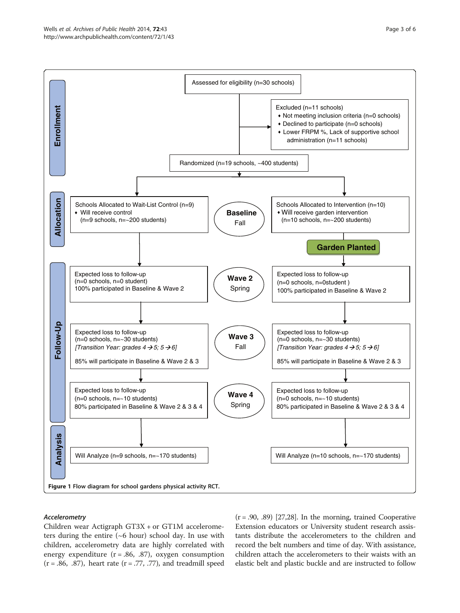<span id="page-2-0"></span>

#### Accelerometry

Children wear Actigraph GT3X + or GT1M accelerometers during the entire (~6 hour) school day. In use with children, accelerometry data are highly correlated with energy expenditure  $(r = .86, .87)$ , oxygen consumption  $(r = .86, .87)$ , heart rate  $(r = .77, .77)$ , and treadmill speed

 $(r = .90, .89)$  [[27,28](#page-4-0)]. In the morning, trained Cooperative Extension educators or University student research assistants distribute the accelerometers to the children and record the belt numbers and time of day. With assistance, children attach the accelerometers to their waists with an elastic belt and plastic buckle and are instructed to follow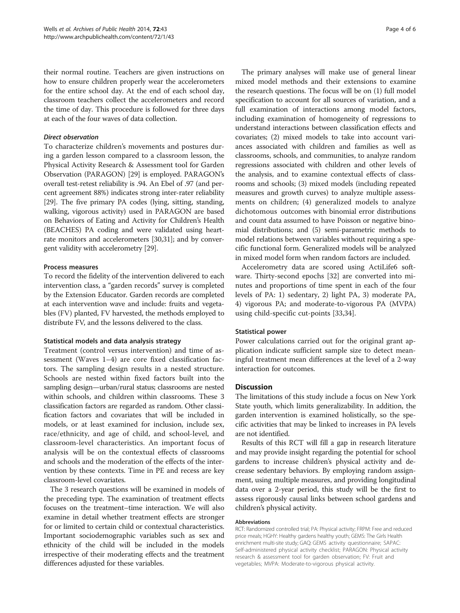their normal routine. Teachers are given instructions on how to ensure children properly wear the accelerometers for the entire school day. At the end of each school day, classroom teachers collect the accelerometers and record the time of day. This procedure is followed for three days at each of the four waves of data collection.

#### Direct observation

To characterize children's movements and postures during a garden lesson compared to a classroom lesson, the Physical Activity Research & Assessment tool for Garden Observation (PARAGON) [[29](#page-4-0)] is employed. PARAGON's overall test-retest reliability is .94. An Ebel of .97 (and percent agreement 88%) indicates strong inter-rater reliability [[29](#page-4-0)]. The five primary PA codes (lying, sitting, standing, walking, vigorous activity) used in PARAGON are based on Behaviors of Eating and Activity for Children's Health (BEACHES) PA coding and were validated using heartrate monitors and accelerometers [\[30](#page-4-0)[,31\]](#page-5-0); and by convergent validity with accelerometry [[29\]](#page-4-0).

#### Process measures

To record the fidelity of the intervention delivered to each intervention class, a "garden records" survey is completed by the Extension Educator. Garden records are completed at each intervention wave and include: fruits and vegetables (FV) planted, FV harvested, the methods employed to distribute FV, and the lessons delivered to the class.

#### Statistical models and data analysis strategy

Treatment (control versus intervention) and time of assessment (Waves 1–4) are core fixed classification factors. The sampling design results in a nested structure. Schools are nested within fixed factors built into the sampling design—urban/rural status; classrooms are nested within schools, and children within classrooms. These 3 classification factors are regarded as random. Other classification factors and covariates that will be included in models, or at least examined for inclusion, include sex, race/ethnicity, and age of child, and school-level, and classroom-level characteristics. An important focus of analysis will be on the contextual effects of classrooms and schools and the moderation of the effects of the intervention by these contexts. Time in PE and recess are key classroom-level covariates.

The 3 research questions will be examined in models of the preceding type. The examination of treatment effects focuses on the treatment–time interaction. We will also examine in detail whether treatment effects are stronger for or limited to certain child or contextual characteristics. Important sociodemographic variables such as sex and ethnicity of the child will be included in the models irrespective of their moderating effects and the treatment differences adjusted for these variables.

The primary analyses will make use of general linear mixed model methods and their extensions to examine the research questions. The focus will be on (1) full model specification to account for all sources of variation, and a full examination of interactions among model factors, including examination of homogeneity of regressions to understand interactions between classification effects and covariates; (2) mixed models to take into account variances associated with children and families as well as classrooms, schools, and communities, to analyze random regressions associated with children and other levels of the analysis, and to examine contextual effects of classrooms and schools; (3) mixed models (including repeated measures and growth curves) to analyze multiple assessments on children; (4) generalized models to analyze dichotomous outcomes with binomial error distributions and count data assumed to have Poisson or negative binomial distributions; and (5) semi-parametric methods to model relations between variables without requiring a specific functional form. Generalized models will be analyzed in mixed model form when random factors are included.

Accelerometry data are scored using ActiLife6 software. Thirty-second epochs [[32\]](#page-5-0) are converted into minutes and proportions of time spent in each of the four levels of PA: 1) sedentary, 2) light PA, 3) moderate PA, 4) vigorous PA; and moderate-to-vigorous PA (MVPA) using child-specific cut-points [[33,34\]](#page-5-0).

# Statistical power

Power calculations carried out for the original grant application indicate sufficient sample size to detect meaningful treatment mean differences at the level of a 2-way interaction for outcomes.

# Discussion

The limitations of this study include a focus on New York State youth, which limits generalizability. In addition, the garden intervention is examined holistically, so the specific activities that may be linked to increases in PA levels are not identified.

Results of this RCT will fill a gap in research literature and may provide insight regarding the potential for school gardens to increase children's physical activity and decrease sedentary behaviors. By employing random assignment, using multiple measures, and providing longitudinal data over a 2-year period, this study will be the first to assess rigorously causal links between school gardens and children's physical activity.

#### Abbreviations

RCT: Randomized controlled trial; PA: Physical activity; FRPM: Free and reduced price meals; HGHY: Healthy gardens healthy youth; GEMS: The Girls Health enrichment multi-site study; GAQ: GEMS activity questionnaire; SAPAC: Self-administered physical activity checklist; PARAGON: Physical activity research & assessment tool for garden observation; FV: Fruit and vegetables; MVPA: Moderate-to-vigorous physical activity.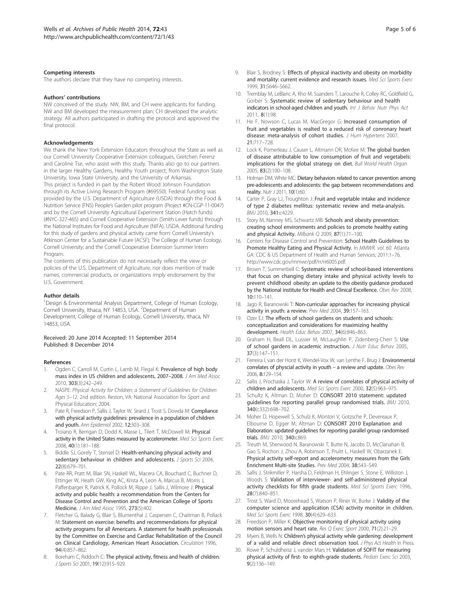#### <span id="page-4-0"></span>Competing interests

The authors declare that they have no competing interests.

#### Authors' contributions

NW conceived of the study. NW, BM, and CH were applicants for funding. NW and BM developed the measurement plan; CH developed the analytic strategy. All authors participated in drafting the protocol and approved the final protocol.

#### Acknowledgements

We thank the New York Extension Educators throughout the State as well as our Cornell University Cooperative Extension colleagues, Gretchen Ferenz and Caroline Tse, who assist with this study. Thanks also go to our partners in the larger Healthy Gardens, Healthy Youth project, from Washington State University, Iowa State University, and the University of Arkansas. This project is funded in part by the Robert Wood Johnson Foundation through its Active Living Research Program (#69550). Federal funding was provided by the U.S. Department of Agriculture (USDA) through the Food & Nutrition Service (FNS) People's Garden pilot program (Project #CN-CGP-11-0047) and by the Cornell University Agricultural Experiment Station (Hatch funds) (#NYC-327-465) and Cornell Cooperative Extension (Smith Lever funds) through the National Institutes for Food and Agriculture (NIFA), USDA. Additional funding for this study of gardens and physical activity came from: Cornell University's Atkinson Center for a Sustainable Future (ACSF); The College of Human Ecology, Cornell University; and the Cornell Cooperative Extension Summer Intern Program.

The contents of this publication do not necessarily reflect the view or policies of the U.S. Department of Agriculture, nor does mention of trade names, commercial products, or organizations imply endorsement by the U.S. Government.

#### Author details

<sup>1</sup>Design & Environmental Analysis Department, College of Human Ecology, Cornell University, Ithaca, NY 14853, USA. <sup>2</sup>Department of Human Development, College of Human Ecology, Cornell University, Ithaca, NY 14853, USA.

#### Received: 20 June 2014 Accepted: 11 September 2014 Published: 8 December 2014

#### References

- 1. Ogden C, Carroll M, Curtin L, Lamb M, Flegal K: Prevalence of high body mass index in US children and adolescents, 2007–2008. J Am Med Assoc 2010, 303(3):242–249.
- 2. NASPE: Physical Activity for Children: a Statement of Guildelines for Children Ages 5–12. 2nd edition. Reston, VA: National Association for Sport and Physical Education; 2004.
- 3. Pate R, Freedson P, Sallis J, Taylor W, Sirard J, Trost S, Dowda M: Compliance with physical activity guidelines: prevalence in a population of children and youth. Ann Epidemiol 2002, 12:303–308.
- 4. Troiano R, Berrigan D, Dodd K, Masse L, Tilert T, McDowell M: Physical activity in the United States measured by accelerometer. Med Sci Sports Exerc 2008, 40(1):181–188.
- 5. Biddle SJ, Gorely T, Stensel D: Health-enhancing physical activity and sedentary behaviour in children and adolescents. J Sports Sci 2004, 22(8):679–701.
- Pate RR, Pratt M, Blair SN, Haskell WL, Macera CA, Bouchard C, Buchner D, Ettinger W, Heath GW, King AC, Krista A, Leon A, Marcus B, Morris J, Paffenbarger R, Patrick K, Pollock M, Rippe J, Sallis J, Wilmore J: Physical activity and public health: a recommendation from the Centers for Disease Control and Prevention and the American College of Sports Medicine. J Am Med Assoc 1995, 273(5):402.
- 7. Fletcher G, Balady G, Blair S, Blumenthal J, Caspersen C, Chaitman B, Pollack M: Statement on exercise: benefits and recommendations for physical activity programs for all Americans. A statement for health professionals by the Committee on Exercise and Cardiac Rehabilitation of the Council on Clinical Cardiology, American Heart Association. Circulation 1996, 94(4):857–862.
- 8. Boreham C, Riddoch C: The physical activity, fitness and health of children. J Sports Sci 2001, 19(12):915–929.
- Blair S, Brodney S: Effects of physical inactivity and obesity on morbidity and mortality: current evidence and research issues. Med Sci Sports Exerc 1999, 31:S646–S662.
- 10. Tremblay M, LeBlanc A, Kho M, Suanders T, Larouche R, Colley RC, Goldfield G, Gorber S: Systematic review of sedentary behaviour and health indicators in school-aged children and youth. Int J Behav Nutr Phys Act 2011, 8(1):98.
- 11. He F, Nowson C, Lucas M, MacGregor G: Increased consumption of fruit and vegetables is realted to a reduced risk of conronary heart disease: meta-analysis of cohort studies. J Hum Hypertens 2007, 21:717–728.
- 12. Lock K, Pomerleau J, Causer L, Altmann DR, McKee M: The global burden of disease attributable to low consumption of fruit and vegetabels: implications for the global strategy on diet. Bull World Health Organ 2005, 83(2):100–108.
- 13. Holman DM, White MC: Dietary behaviors related to cancer prevention among pre-adolescents and adolescents: the gap between recommendations and reality. Nutr J 2011, 10(1):60.
- 14. Carter P, Gray LJ, Troughton J: Fruit and vegetable intake and incidence of type 2 diabetes mellitus: systematic review and meta-analysis. BMJ 2010, 341:c4229.
- 15. Story M, Nanney MS, Schwartz MB: Schools and obesity prevention: creating school environments and policies to promote healthy eating and physical Activity. Milbank Q 2009, 87(1):71-100.
- 16. Centers for Disease Control and Prevention: School Health Guidelines to Promote Healthy Eating and Physical Activity. In MMWR. vol. 60. Atlanta GA: CDC & US Department of Health and Human Services; 2011:1–76. <http://www.cdc.gov/mmwr/pdf/rr/rr6005.pdf>.
- 17. Brown T, Summerbell C: Systematic review of school-based interventions that focus on changing dietary intake and physical activity levels to prevent childhood obesity: an update to the obestiy guidance produced by the National institute for Health and Clinical Excellence. Obes Rev 2008, 10:110–141.
- 18. Jago R, Baranowski T: Non-curricular approaches for increasing physical activity in youth: a review. Prev Med 2004, 39:157–163.
- 19. Ozer EJ: The effects of school gardens on students and schools: conceptualization and considerations for maximizing healthy development. Health Educ Behav 2007, 34(6):846–863.
- 20. Graham H, Beall DL, Lussier M, McLaughlin P, Zidenberg-Cherr S: Use of school gardens in academic instruction. J Nutr Educ Behav 2005, 37(3):147–151.
- 21. Ferreira I, van der Horst K, Wendel-Vox W, van Lenthe F, Brug J: Environmental correlates of physcial activity in youth – a review and update. Obes Rev 2006, 8:129–154.
- 22. Sallis J, Prochaska J, Taylor W: A review of correlates of physical activity of children and adolescents. Med Sci Sports Exerc 2000, 32(5):963–975.
- 23. Schultz K, Altman D, Moher D: CONSORT 2010 statement: updated guidelines for reporting parallel group randomised trials. BMJ 2010, 340(c332):698–702.
- 24. Moher D, Hopewell S, Schulz K, Montori V, Gotzsche P, Devereaux P, Elbourne D, Egger M, Altman D: CONSORT 2010 Explanation and Elaboration: updated guidelines for reporting parallel group randomised trials. BMJ 2010, 340:c869.
- 25. Treuth M, Sherwood N, Baranowski T, Butte N, Jacobs D, McClanahan B, Gao S, Rochon J, Zhou A, Robinson T, Pruitt L, Haskell W, Obarzanek E: Physical activity self-report and accelerometry measures from the Girls Enrichment Multi-site Studies. Prev Med 2004, 38:S43–S49.
- 26. Sallis J, Strikmiller P, Harsha D, Feldman H, Ehlinger S, Stone E, Williston J, Woods S: Validation of interviewer- and self-administered physical activity checklists for fifth grade students. Med Sci Sports Exerc 1996, 28(7):840–851.
- 27. Trost S, Ward D, Moorehead S, Watson P, Riner W, Burke J: Validity of the computer science and application (CSA) activity monitor in children. Med Sci Sports Exerc 1998, 30(4):629–633.
- 28. Freedson P, Miller K: Objective monitoring of physical activity using motion sensors and heart rate. Res Q Exerc Sport 2000, 71(2):21–29.
- 29. Myers B, Wells N: Children's physical activity while gardening: development of a valid and reliable direct observation tool. J Phys Act Health In Press.
- 30. Rowe P, Schuldheisz J, vander Mars H: Validation of SOFIT for measuring physical activity of first- to eighth-grade students. Pediatr Exerc Sci 2003, 9(2):136–149.